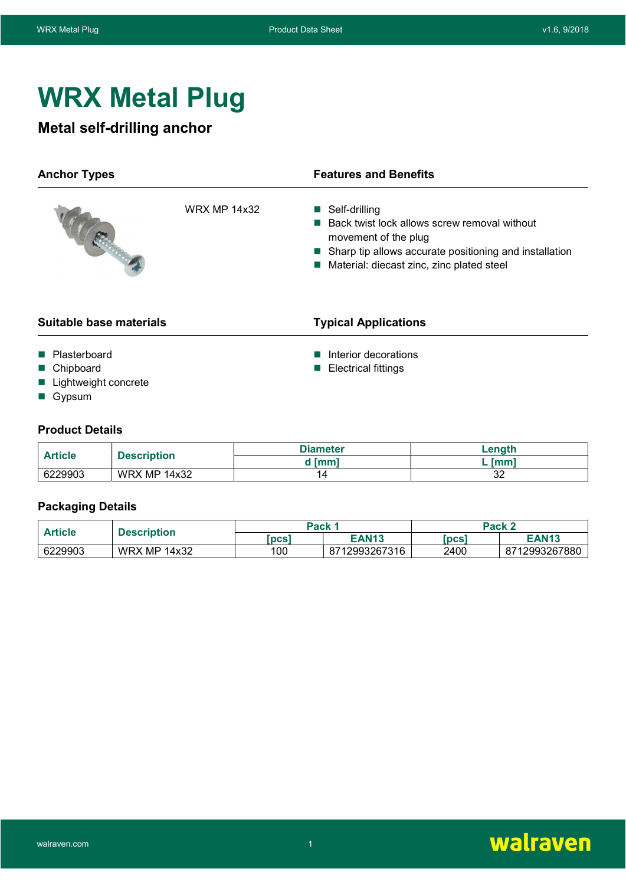# WRX Metal Plug

# Metal self-drilling anchor

| <b>Anchor Types</b>                                         |  | <b>Features and Benefits</b>                                                                                                                                                                     |       |  |
|-------------------------------------------------------------|--|--------------------------------------------------------------------------------------------------------------------------------------------------------------------------------------------------|-------|--|
| <b>WRX MP 14x32</b>                                         |  | ■ Self-drilling<br>Back twist lock allows screw removal without<br>movement of the plug<br>■ Sharp tip allows accurate positioning and installation<br>Material: diecast zinc, zinc plated steel |       |  |
| Suitable base materials                                     |  | <b>Typical Applications</b>                                                                                                                                                                      |       |  |
| Plasterboard<br>Chipboard<br>Lightweight concrete<br>Gypsum |  | Interior decorations<br><b>Electrical fittings</b>                                                                                                                                               |       |  |
| <b>Product Details</b>                                      |  | <b>Diameter</b>                                                                                                                                                                                  | enath |  |

| <b>Article</b><br><b>Description</b> |                     | <b>Diameter</b> | _enath    |
|--------------------------------------|---------------------|-----------------|-----------|
|                                      | ` Imm`              | <b>Imm</b>      |           |
| 6229903                              | <b>WRX MP 14x32</b> |                 | n r<br>ັ້ |

# Packaging Details

| Article<br>Description |                     | Pack 1     | Pack 2        |            |               |
|------------------------|---------------------|------------|---------------|------------|---------------|
|                        |                     | <b>pcs</b> | <b>EAN13</b>  | <b>DCS</b> | <b>EAN13</b>  |
| 6229903                | MP.<br>14x32<br>WRX | 100        | 8712993267316 | 2400       | 8712993267880 |